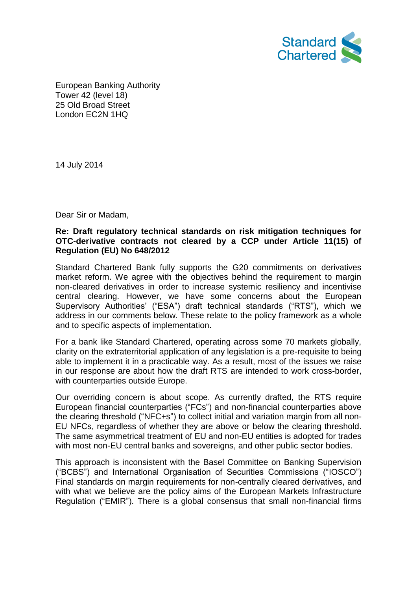

European Banking Authority Tower 42 (level 18) 25 Old Broad Street London EC2N 1HQ

14 July 2014

Dear Sir or Madam,

# **Re: Draft regulatory technical standards on risk mitigation techniques for OTC-derivative contracts not cleared by a CCP under Article 11(15) of Regulation (EU) No 648/2012**

Standard Chartered Bank fully supports the G20 commitments on derivatives market reform. We agree with the objectives behind the requirement to margin non-cleared derivatives in order to increase systemic resiliency and incentivise central clearing. However, we have some concerns about the European Supervisory Authorities' ("ESA") draft technical standards ("RTS"), which we address in our comments below. These relate to the policy framework as a whole and to specific aspects of implementation.

For a bank like Standard Chartered, operating across some 70 markets globally, clarity on the extraterritorial application of any legislation is a pre-requisite to being able to implement it in a practicable way. As a result, most of the issues we raise in our response are about how the draft RTS are intended to work cross-border, with counterparties outside Europe.

Our overriding concern is about scope. As currently drafted, the RTS require European financial counterparties ("FCs") and non-financial counterparties above the clearing threshold ("NFC+s") to collect initial and variation margin from all non-EU NFCs, regardless of whether they are above or below the clearing threshold. The same asymmetrical treatment of EU and non-EU entities is adopted for trades with most non-EU central banks and sovereigns, and other public sector bodies.

This approach is inconsistent with the Basel Committee on Banking Supervision ("BCBS") and International Organisation of Securities Commissions ("IOSCO") Final standards on margin requirements for non-centrally cleared derivatives, and with what we believe are the policy aims of the European Markets Infrastructure Regulation ("EMIR"). There is a global consensus that small non-financial firms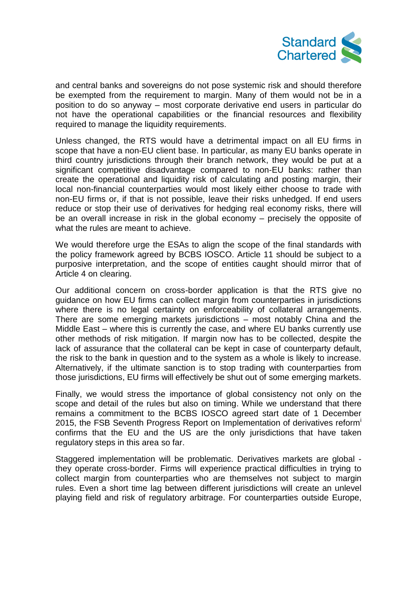

and central banks and sovereigns do not pose systemic risk and should therefore be exempted from the requirement to margin. Many of them would not be in a position to do so anyway – most corporate derivative end users in particular do not have the operational capabilities or the financial resources and flexibility required to manage the liquidity requirements.

Unless changed, the RTS would have a detrimental impact on all EU firms in scope that have a non-EU client base. In particular, as many EU banks operate in third country jurisdictions through their branch network, they would be put at a significant competitive disadvantage compared to non-EU banks: rather than create the operational and liquidity risk of calculating and posting margin, their local non-financial counterparties would most likely either choose to trade with non-EU firms or, if that is not possible, leave their risks unhedged. If end users reduce or stop their use of derivatives for hedging real economy risks, there will be an overall increase in risk in the global economy – precisely the opposite of what the rules are meant to achieve.

We would therefore urge the ESAs to align the scope of the final standards with the policy framework agreed by BCBS IOSCO. Article 11 should be subject to a purposive interpretation, and the scope of entities caught should mirror that of Article 4 on clearing.

Our additional concern on cross-border application is that the RTS give no guidance on how EU firms can collect margin from counterparties in jurisdictions where there is no legal certainty on enforceability of collateral arrangements. There are some emerging markets jurisdictions – most notably China and the Middle East – where this is currently the case, and where EU banks currently use other methods of risk mitigation. If margin now has to be collected, despite the lack of assurance that the collateral can be kept in case of counterparty default, the risk to the bank in question and to the system as a whole is likely to increase. Alternatively, if the ultimate sanction is to stop trading with counterparties from those jurisdictions, EU firms will effectively be shut out of some emerging markets.

Finally, we would stress the importance of global consistency not only on the scope and detail of the rules but also on timing. While we understand that there remains a commitment to the BCBS IOSCO agreed start date of 1 December 2015, the FSB Seventh Progress Report on Implementation of derivatives reform<sup>1</sup> confirms that the EU and the US are the only jurisdictions that have taken regulatory steps in this area so far.

Staggered implementation will be problematic. Derivatives markets are global they operate cross-border. Firms will experience practical difficulties in trying to collect margin from counterparties who are themselves not subject to margin rules. Even a short time lag between different jurisdictions will create an unlevel playing field and risk of regulatory arbitrage. For counterparties outside Europe,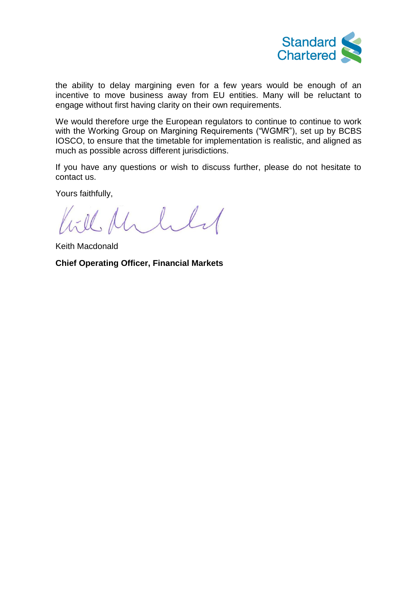

the ability to delay margining even for a few years would be enough of an incentive to move business away from EU entities. Many will be reluctant to engage without first having clarity on their own requirements.

We would therefore urge the European regulators to continue to continue to work with the Working Group on Margining Requirements ("WGMR"), set up by BCBS IOSCO, to ensure that the timetable for implementation is realistic, and aligned as much as possible across different jurisdictions.

If you have any questions or wish to discuss further, please do not hesitate to contact us.

Yours faithfully,

Will M hld

Keith Macdonald

**Chief Operating Officer, Financial Markets**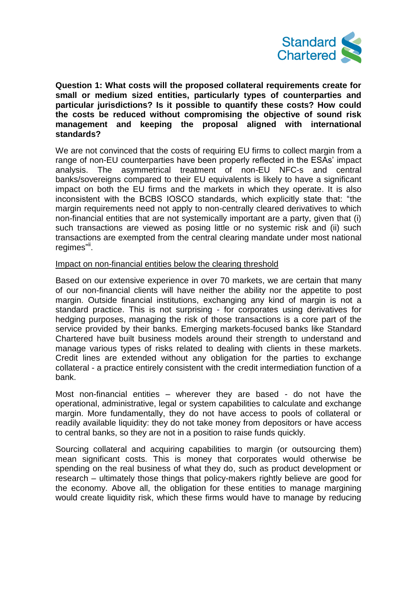

**Question 1: What costs will the proposed collateral requirements create for small or medium sized entities, particularly types of counterparties and particular jurisdictions? Is it possible to quantify these costs? How could the costs be reduced without compromising the objective of sound risk management and keeping the proposal aligned with international standards?**

We are not convinced that the costs of requiring EU firms to collect margin from a range of non-EU counterparties have been properly reflected in the ESAs' impact analysis. The asymmetrical treatment of non-EU NFC-s and central banks/sovereigns compared to their EU equivalents is likely to have a significant impact on both the EU firms and the markets in which they operate. It is also inconsistent with the BCBS IOSCO standards, which explicitly state that: "the margin requirements need not apply to non-centrally cleared derivatives to which non-financial entities that are not systemically important are a party, given that (i) such transactions are viewed as posing little or no systemic risk and (ii) such transactions are exempted from the central clearing mandate under most national regimes"<sup>ii</sup>.

# Impact on non-financial entities below the clearing threshold

Based on our extensive experience in over 70 markets, we are certain that many of our non-financial clients will have neither the ability nor the appetite to post margin. Outside financial institutions, exchanging any kind of margin is not a standard practice. This is not surprising - for corporates using derivatives for hedging purposes, managing the risk of those transactions is a core part of the service provided by their banks. Emerging markets-focused banks like Standard Chartered have built business models around their strength to understand and manage various types of risks related to dealing with clients in these markets. Credit lines are extended without any obligation for the parties to exchange collateral - a practice entirely consistent with the credit intermediation function of a bank.

Most non-financial entities – wherever they are based - do not have the operational, administrative, legal or system capabilities to calculate and exchange margin. More fundamentally, they do not have access to pools of collateral or readily available liquidity: they do not take money from depositors or have access to central banks, so they are not in a position to raise funds quickly.

Sourcing collateral and acquiring capabilities to margin (or outsourcing them) mean significant costs. This is money that corporates would otherwise be spending on the real business of what they do, such as product development or research – ultimately those things that policy-makers rightly believe are good for the economy. Above all, the obligation for these entities to manage margining would create liquidity risk, which these firms would have to manage by reducing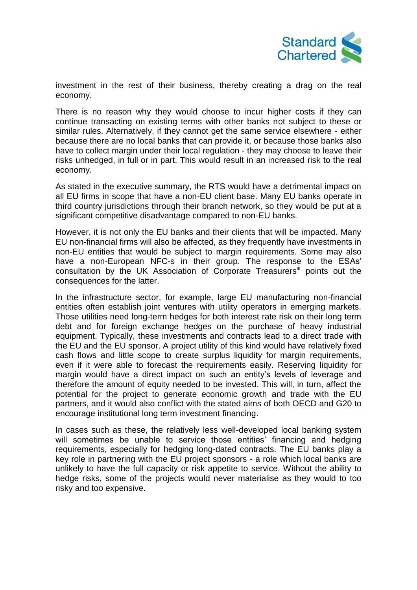

investment in the rest of their business, thereby creating a drag on the real economy.

There is no reason why they would choose to incur higher costs if they can continue transacting on existing terms with other banks not subject to these or similar rules. Alternatively, if they cannot get the same service elsewhere - either because there are no local banks that can provide it, or because those banks also have to collect margin under their local regulation - they may choose to leave their risks unhedged, in full or in part. This would result in an increased risk to the real economy.

As stated in the executive summary, the RTS would have a detrimental impact on all EU firms in scope that have a non-EU client base. Many EU banks operate in third country jurisdictions through their branch network, so they would be put at a significant competitive disadvantage compared to non-EU banks.

However, it is not only the EU banks and their clients that will be impacted. Many EU non-financial firms will also be affected, as they frequently have investments in non-EU entities that would be subject to margin requirements. Some may also have a non-European NFC-s in their group. The response to the ESAs' consultation by the UK Association of Corporate Treasurers<sup>iii</sup> points out the consequences for the latter.

In the infrastructure sector, for example, large EU manufacturing non-financial entities often establish joint ventures with utility operators in emerging markets. Those utilities need long-term hedges for both interest rate risk on their long term debt and for foreign exchange hedges on the purchase of heavy industrial equipment. Typically, these investments and contracts lead to a direct trade with the EU and the EU sponsor. A project utility of this kind would have relatively fixed cash flows and little scope to create surplus liquidity for margin requirements, even if it were able to forecast the requirements easily. Reserving liquidity for margin would have a direct impact on such an entity's levels of leverage and therefore the amount of equity needed to be invested. This will, in turn, affect the potential for the project to generate economic growth and trade with the EU partners, and it would also conflict with the stated aims of both OECD and G20 to encourage institutional long term investment financing.

In cases such as these, the relatively less well-developed local banking system will sometimes be unable to service those entities' financing and hedging requirements, especially for hedging long-dated contracts. The EU banks play a key role in partnering with the EU project sponsors - a role which local banks are unlikely to have the full capacity or risk appetite to service. Without the ability to hedge risks, some of the projects would never materialise as they would to too risky and too expensive.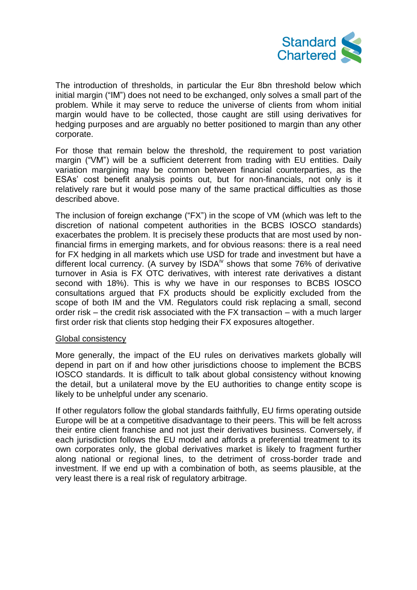

The introduction of thresholds, in particular the Eur 8bn threshold below which initial margin ("IM") does not need to be exchanged, only solves a small part of the problem. While it may serve to reduce the universe of clients from whom initial margin would have to be collected, those caught are still using derivatives for hedging purposes and are arguably no better positioned to margin than any other corporate.

For those that remain below the threshold, the requirement to post variation margin ("VM") will be a sufficient deterrent from trading with EU entities. Daily variation margining may be common between financial counterparties, as the ESAs' cost benefit analysis points out, but for non-financials, not only is it relatively rare but it would pose many of the same practical difficulties as those described above.

The inclusion of foreign exchange ("FX") in the scope of VM (which was left to the discretion of national competent authorities in the BCBS IOSCO standards) exacerbates the problem. It is precisely these products that are most used by nonfinancial firms in emerging markets, and for obvious reasons: there is a real need for FX hedging in all markets which use USD for trade and investment but have a different local currency. (A survey by  $ISDA<sup>iv</sup>$  shows that some 76% of derivative turnover in Asia is FX OTC derivatives, with interest rate derivatives a distant second with 18%). This is why we have in our responses to BCBS IOSCO consultations argued that FX products should be explicitly excluded from the scope of both IM and the VM. Regulators could risk replacing a small, second order risk – the credit risk associated with the FX transaction – with a much larger first order risk that clients stop hedging their FX exposures altogether.

# Global consistency

More generally, the impact of the EU rules on derivatives markets globally will depend in part on if and how other jurisdictions choose to implement the BCBS IOSCO standards. It is difficult to talk about global consistency without knowing the detail, but a unilateral move by the EU authorities to change entity scope is likely to be unhelpful under any scenario.

If other regulators follow the global standards faithfully, EU firms operating outside Europe will be at a competitive disadvantage to their peers. This will be felt across their entire client franchise and not just their derivatives business. Conversely, if each jurisdiction follows the EU model and affords a preferential treatment to its own corporates only, the global derivatives market is likely to fragment further along national or regional lines, to the detriment of cross-border trade and investment. If we end up with a combination of both, as seems plausible, at the very least there is a real risk of regulatory arbitrage.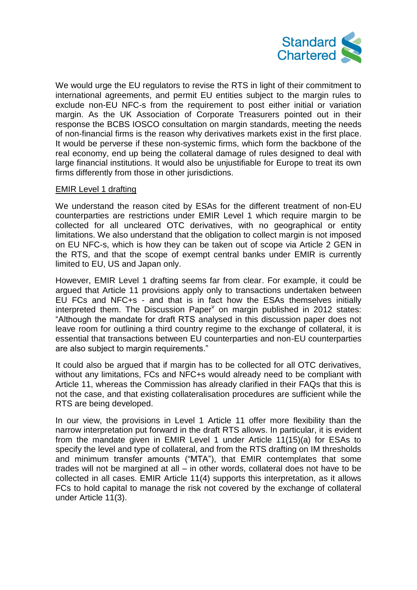

We would urge the EU regulators to revise the RTS in light of their commitment to international agreements, and permit EU entities subject to the margin rules to exclude non-EU NFC-s from the requirement to post either initial or variation margin. As the UK Association of Corporate Treasurers pointed out in their response the BCBS IOSCO consultation on margin standards, meeting the needs of non-financial firms is the reason why derivatives markets exist in the first place. It would be perverse if these non-systemic firms, which form the backbone of the real economy, end up being the collateral damage of rules designed to deal with large financial institutions. It would also be unjustifiable for Europe to treat its own firms differently from those in other jurisdictions.

# EMIR Level 1 drafting

We understand the reason cited by ESAs for the different treatment of non-EU counterparties are restrictions under EMIR Level 1 which require margin to be collected for all uncleared OTC derivatives, with no geographical or entity limitations. We also understand that the obligation to collect margin is not imposed on EU NFC-s, which is how they can be taken out of scope via Article 2 GEN in the RTS, and that the scope of exempt central banks under EMIR is currently limited to EU, US and Japan only.

However, EMIR Level 1 drafting seems far from clear. For example, it could be argued that Article 11 provisions apply only to transactions undertaken between EU FCs and NFC+s - and that is in fact how the ESAs themselves initially interpreted them. The Discussion Paper<sup>v</sup> on margin published in 2012 states: "Although the mandate for draft RTS analysed in this discussion paper does not leave room for outlining a third country regime to the exchange of collateral, it is essential that transactions between EU counterparties and non-EU counterparties are also subject to margin requirements."

It could also be argued that if margin has to be collected for all OTC derivatives, without any limitations, FCs and NFC+s would already need to be compliant with Article 11, whereas the Commission has already clarified in their FAQs that this is not the case, and that existing collateralisation procedures are sufficient while the RTS are being developed.

In our view, the provisions in Level 1 Article 11 offer more flexibility than the narrow interpretation put forward in the draft RTS allows. In particular, it is evident from the mandate given in EMIR Level 1 under Article 11(15)(a) for ESAs to specify the level and type of collateral, and from the RTS drafting on IM thresholds and minimum transfer amounts ("MTA"), that EMIR contemplates that some trades will not be margined at all – in other words, collateral does not have to be collected in all cases. EMIR Article 11(4) supports this interpretation, as it allows FCs to hold capital to manage the risk not covered by the exchange of collateral under Article 11(3).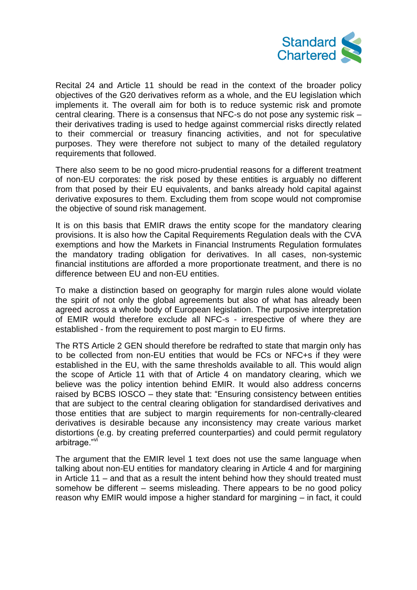

Recital 24 and Article 11 should be read in the context of the broader policy objectives of the G20 derivatives reform as a whole, and the EU legislation which implements it. The overall aim for both is to reduce systemic risk and promote central clearing. There is a consensus that NFC-s do not pose any systemic risk – their derivatives trading is used to hedge against commercial risks directly related to their commercial or treasury financing activities, and not for speculative purposes. They were therefore not subject to many of the detailed regulatory requirements that followed.

There also seem to be no good micro-prudential reasons for a different treatment of non-EU corporates: the risk posed by these entities is arguably no different from that posed by their EU equivalents, and banks already hold capital against derivative exposures to them. Excluding them from scope would not compromise the objective of sound risk management.

It is on this basis that EMIR draws the entity scope for the mandatory clearing provisions. It is also how the Capital Requirements Regulation deals with the CVA exemptions and how the Markets in Financial Instruments Regulation formulates the mandatory trading obligation for derivatives. In all cases, non-systemic financial institutions are afforded a more proportionate treatment, and there is no difference between EU and non-EU entities.

To make a distinction based on geography for margin rules alone would violate the spirit of not only the global agreements but also of what has already been agreed across a whole body of European legislation. The purposive interpretation of EMIR would therefore exclude all NFC-s - irrespective of where they are established - from the requirement to post margin to EU firms.

The RTS Article 2 GEN should therefore be redrafted to state that margin only has to be collected from non-EU entities that would be FCs or NFC+s if they were established in the EU, with the same thresholds available to all. This would align the scope of Article 11 with that of Article 4 on mandatory clearing, which we believe was the policy intention behind EMIR. It would also address concerns raised by BCBS IOSCO – they state that: "Ensuring consistency between entities that are subject to the central clearing obligation for standardised derivatives and those entities that are subject to margin requirements for non-centrally-cleared derivatives is desirable because any inconsistency may create various market distortions (e.g. by creating preferred counterparties) and could permit regulatory arbitrage."<sup>vi</sup>

The argument that the EMIR level 1 text does not use the same language when talking about non-EU entities for mandatory clearing in Article 4 and for margining in Article 11 – and that as a result the intent behind how they should treated must somehow be different – seems misleading. There appears to be no good policy reason why EMIR would impose a higher standard for margining – in fact, it could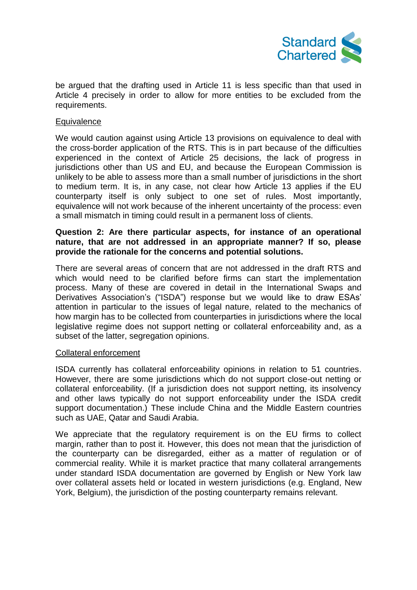

be argued that the drafting used in Article 11 is less specific than that used in Article 4 precisely in order to allow for more entities to be excluded from the requirements.

# **Equivalence**

We would caution against using Article 13 provisions on equivalence to deal with the cross-border application of the RTS. This is in part because of the difficulties experienced in the context of Article 25 decisions, the lack of progress in jurisdictions other than US and EU, and because the European Commission is unlikely to be able to assess more than a small number of jurisdictions in the short to medium term. It is, in any case, not clear how Article 13 applies if the EU counterparty itself is only subject to one set of rules. Most importantly, equivalence will not work because of the inherent uncertainty of the process: even a small mismatch in timing could result in a permanent loss of clients.

# **Question 2: Are there particular aspects, for instance of an operational nature, that are not addressed in an appropriate manner? If so, please provide the rationale for the concerns and potential solutions.**

There are several areas of concern that are not addressed in the draft RTS and which would need to be clarified before firms can start the implementation process. Many of these are covered in detail in the International Swaps and Derivatives Association's ("ISDA") response but we would like to draw ESAs' attention in particular to the issues of legal nature, related to the mechanics of how margin has to be collected from counterparties in jurisdictions where the local legislative regime does not support netting or collateral enforceability and, as a subset of the latter, segregation opinions.

# Collateral enforcement

ISDA currently has collateral enforceability opinions in relation to 51 countries. However, there are some jurisdictions which do not support close-out netting or collateral enforceability. (If a jurisdiction does not support netting, its insolvency and other laws typically do not support enforceability under the ISDA credit support documentation.) These include China and the Middle Eastern countries such as UAE, Qatar and Saudi Arabia.

We appreciate that the regulatory requirement is on the EU firms to collect margin, rather than to post it. However, this does not mean that the jurisdiction of the counterparty can be disregarded, either as a matter of regulation or of commercial reality. While it is market practice that many collateral arrangements under standard ISDA documentation are governed by English or New York law over collateral assets held or located in western jurisdictions (e.g. England, New York, Belgium), the jurisdiction of the posting counterparty remains relevant.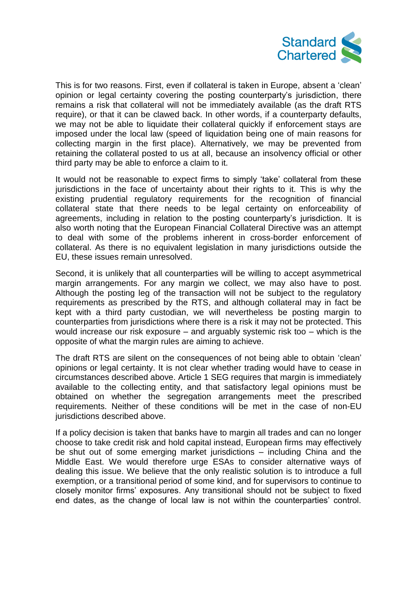

This is for two reasons. First, even if collateral is taken in Europe, absent a 'clean' opinion or legal certainty covering the posting counterparty's jurisdiction, there remains a risk that collateral will not be immediately available (as the draft RTS require), or that it can be clawed back. In other words, if a counterparty defaults, we may not be able to liquidate their collateral quickly if enforcement stays are imposed under the local law (speed of liquidation being one of main reasons for collecting margin in the first place). Alternatively, we may be prevented from retaining the collateral posted to us at all, because an insolvency official or other third party may be able to enforce a claim to it.

It would not be reasonable to expect firms to simply 'take' collateral from these jurisdictions in the face of uncertainty about their rights to it. This is why the existing prudential regulatory requirements for the recognition of financial collateral state that there needs to be legal certainty on enforceability of agreements, including in relation to the posting counterparty's jurisdiction. It is also worth noting that the European Financial Collateral Directive was an attempt to deal with some of the problems inherent in cross-border enforcement of collateral. As there is no equivalent legislation in many jurisdictions outside the EU, these issues remain unresolved.

Second, it is unlikely that all counterparties will be willing to accept asymmetrical margin arrangements. For any margin we collect, we may also have to post. Although the posting leg of the transaction will not be subject to the regulatory requirements as prescribed by the RTS, and although collateral may in fact be kept with a third party custodian, we will nevertheless be posting margin to counterparties from jurisdictions where there is a risk it may not be protected. This would increase our risk exposure – and arguably systemic risk too – which is the opposite of what the margin rules are aiming to achieve.

The draft RTS are silent on the consequences of not being able to obtain 'clean' opinions or legal certainty. It is not clear whether trading would have to cease in circumstances described above. Article 1 SEG requires that margin is immediately available to the collecting entity, and that satisfactory legal opinions must be obtained on whether the segregation arrangements meet the prescribed requirements. Neither of these conditions will be met in the case of non-EU jurisdictions described above.

If a policy decision is taken that banks have to margin all trades and can no longer choose to take credit risk and hold capital instead, European firms may effectively be shut out of some emerging market jurisdictions – including China and the Middle East. We would therefore urge ESAs to consider alternative ways of dealing this issue. We believe that the only realistic solution is to introduce a full exemption, or a transitional period of some kind, and for supervisors to continue to closely monitor firms' exposures. Any transitional should not be subject to fixed end dates, as the change of local law is not within the counterparties' control.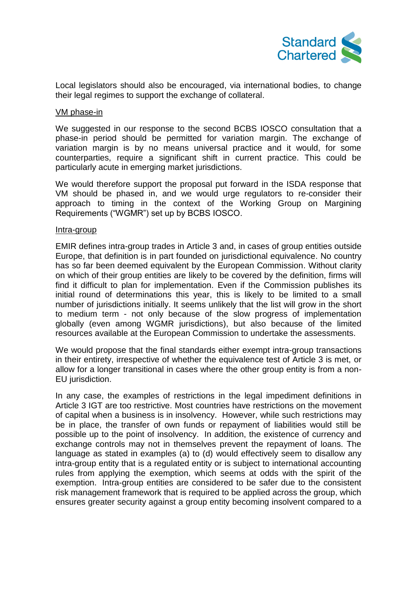

Local legislators should also be encouraged, via international bodies, to change their legal regimes to support the exchange of collateral.

### VM phase-in

We suggested in our response to the second BCBS IOSCO consultation that a phase-in period should be permitted for variation margin. The exchange of variation margin is by no means universal practice and it would, for some counterparties, require a significant shift in current practice. This could be particularly acute in emerging market jurisdictions.

We would therefore support the proposal put forward in the ISDA response that VM should be phased in, and we would urge regulators to re-consider their approach to timing in the context of the Working Group on Margining Requirements ("WGMR") set up by BCBS IOSCO.

#### Intra-group

EMIR defines intra-group trades in Article 3 and, in cases of group entities outside Europe, that definition is in part founded on jurisdictional equivalence. No country has so far been deemed equivalent by the European Commission. Without clarity on which of their group entities are likely to be covered by the definition, firms will find it difficult to plan for implementation. Even if the Commission publishes its initial round of determinations this year, this is likely to be limited to a small number of jurisdictions initially. It seems unlikely that the list will grow in the short to medium term - not only because of the slow progress of implementation globally (even among WGMR jurisdictions), but also because of the limited resources available at the European Commission to undertake the assessments.

We would propose that the final standards either exempt intra-group transactions in their entirety, irrespective of whether the equivalence test of Article 3 is met, or allow for a longer transitional in cases where the other group entity is from a non-EU jurisdiction.

In any case, the examples of restrictions in the legal impediment definitions in Article 3 IGT are too restrictive. Most countries have restrictions on the movement of capital when a business is in insolvency. However, while such restrictions may be in place, the transfer of own funds or repayment of liabilities would still be possible up to the point of insolvency. In addition, the existence of currency and exchange controls may not in themselves prevent the repayment of loans. The language as stated in examples (a) to (d) would effectively seem to disallow any intra-group entity that is a regulated entity or is subject to international accounting rules from applying the exemption, which seems at odds with the spirit of the exemption. Intra-group entities are considered to be safer due to the consistent risk management framework that is required to be applied across the group, which ensures greater security against a group entity becoming insolvent compared to a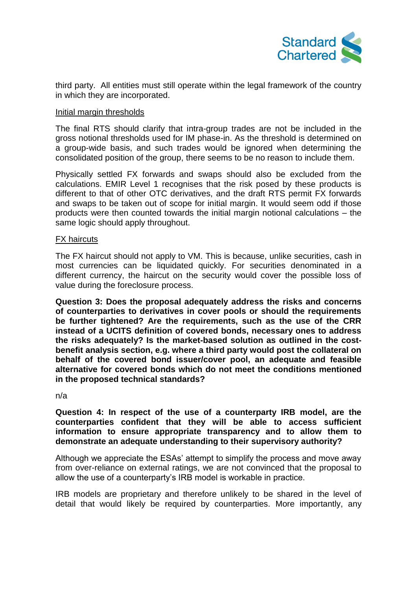

third party. All entities must still operate within the legal framework of the country in which they are incorporated.

# Initial margin thresholds

The final RTS should clarify that intra-group trades are not be included in the gross notional thresholds used for IM phase-in. As the threshold is determined on a group-wide basis, and such trades would be ignored when determining the consolidated position of the group, there seems to be no reason to include them.

Physically settled FX forwards and swaps should also be excluded from the calculations. EMIR Level 1 recognises that the risk posed by these products is different to that of other OTC derivatives, and the draft RTS permit FX forwards and swaps to be taken out of scope for initial margin. It would seem odd if those products were then counted towards the initial margin notional calculations – the same logic should apply throughout.

#### FX haircuts

The FX haircut should not apply to VM. This is because, unlike securities, cash in most currencies can be liquidated quickly. For securities denominated in a different currency, the haircut on the security would cover the possible loss of value during the foreclosure process.

**Question 3: Does the proposal adequately address the risks and concerns of counterparties to derivatives in cover pools or should the requirements be further tightened? Are the requirements, such as the use of the CRR instead of a UCITS definition of covered bonds, necessary ones to address the risks adequately? Is the market-based solution as outlined in the costbenefit analysis section, e.g. where a third party would post the collateral on behalf of the covered bond issuer/cover pool, an adequate and feasible alternative for covered bonds which do not meet the conditions mentioned in the proposed technical standards?** 

#### n/a

**Question 4: In respect of the use of a counterparty IRB model, are the counterparties confident that they will be able to access sufficient information to ensure appropriate transparency and to allow them to demonstrate an adequate understanding to their supervisory authority?** 

Although we appreciate the ESAs' attempt to simplify the process and move away from over-reliance on external ratings, we are not convinced that the proposal to allow the use of a counterparty's IRB model is workable in practice.

IRB models are proprietary and therefore unlikely to be shared in the level of detail that would likely be required by counterparties. More importantly, any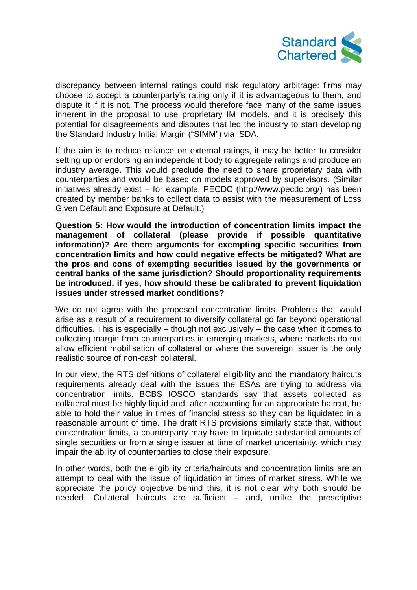

discrepancy between internal ratings could risk regulatory arbitrage: firms may choose to accept a counterparty's rating only if it is advantageous to them, and dispute it if it is not. The process would therefore face many of the same issues inherent in the proposal to use proprietary IM models, and it is precisely this potential for disagreements and disputes that led the industry to start developing the Standard Industry Initial Margin ("SIMM") via ISDA.

If the aim is to reduce reliance on external ratings, it may be better to consider setting up or endorsing an independent body to aggregate ratings and produce an industry average. This would preclude the need to share proprietary data with counterparties and would be based on models approved by supervisors. (Similar initiatives already exist – for example, PECDC [\(http://www.pecdc.org/\)](http://www.pecdc.org/) has been created by member banks to collect data to assist with the measurement of Loss Given Default and Exposure at Default.)

**Question 5: How would the introduction of concentration limits impact the management of collateral (please provide if possible quantitative information)? Are there arguments for exempting specific securities from concentration limits and how could negative effects be mitigated? What are the pros and cons of exempting securities issued by the governments or central banks of the same jurisdiction? Should proportionality requirements be introduced, if yes, how should these be calibrated to prevent liquidation issues under stressed market conditions?** 

We do not agree with the proposed concentration limits. Problems that would arise as a result of a requirement to diversify collateral go far beyond operational difficulties. This is especially – though not exclusively – the case when it comes to collecting margin from counterparties in emerging markets, where markets do not allow efficient mobilisation of collateral or where the sovereign issuer is the only realistic source of non-cash collateral.

In our view, the RTS definitions of collateral eligibility and the mandatory haircuts requirements already deal with the issues the ESAs are trying to address via concentration limits. BCBS IOSCO standards say that assets collected as collateral must be highly liquid and, after accounting for an appropriate haircut, be able to hold their value in times of financial stress so they can be liquidated in a reasonable amount of time. The draft RTS provisions similarly state that, without concentration limits, a counterparty may have to liquidate substantial amounts of single securities or from a single issuer at time of market uncertainty, which may impair the ability of counterparties to close their exposure.

In other words, both the eligibility criteria/haircuts and concentration limits are an attempt to deal with the issue of liquidation in times of market stress. While we appreciate the policy objective behind this, it is not clear why both should be needed. Collateral haircuts are sufficient – and, unlike the prescriptive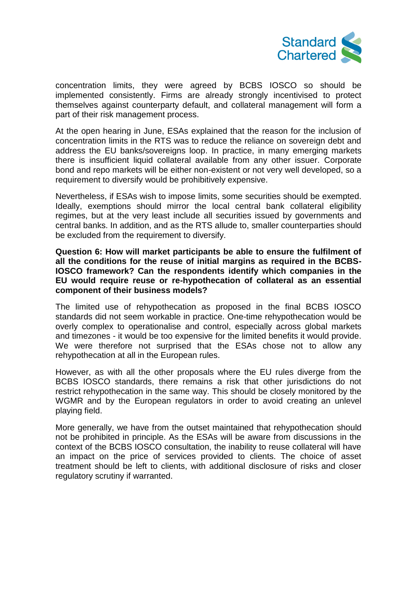

concentration limits, they were agreed by BCBS IOSCO so should be implemented consistently. Firms are already strongly incentivised to protect themselves against counterparty default, and collateral management will form a part of their risk management process.

At the open hearing in June, ESAs explained that the reason for the inclusion of concentration limits in the RTS was to reduce the reliance on sovereign debt and address the EU banks/sovereigns loop. In practice, in many emerging markets there is insufficient liquid collateral available from any other issuer. Corporate bond and repo markets will be either non-existent or not very well developed, so a requirement to diversify would be prohibitively expensive.

Nevertheless, if ESAs wish to impose limits, some securities should be exempted. Ideally, exemptions should mirror the local central bank collateral eligibility regimes, but at the very least include all securities issued by governments and central banks. In addition, and as the RTS allude to, smaller counterparties should be excluded from the requirement to diversify.

# **Question 6: How will market participants be able to ensure the fulfilment of all the conditions for the reuse of initial margins as required in the BCBS-IOSCO framework? Can the respondents identify which companies in the EU would require reuse or re-hypothecation of collateral as an essential component of their business models?**

The limited use of rehypothecation as proposed in the final BCBS IOSCO standards did not seem workable in practice. One-time rehypothecation would be overly complex to operationalise and control, especially across global markets and timezones - it would be too expensive for the limited benefits it would provide. We were therefore not surprised that the ESAs chose not to allow any rehypothecation at all in the European rules.

However, as with all the other proposals where the EU rules diverge from the BCBS IOSCO standards, there remains a risk that other jurisdictions do not restrict rehypothecation in the same way. This should be closely monitored by the WGMR and by the European regulators in order to avoid creating an unlevel playing field.

More generally, we have from the outset maintained that rehypothecation should not be prohibited in principle. As the ESAs will be aware from discussions in the context of the BCBS IOSCO consultation, the inability to reuse collateral will have an impact on the price of services provided to clients. The choice of asset treatment should be left to clients, with additional disclosure of risks and closer regulatory scrutiny if warranted.